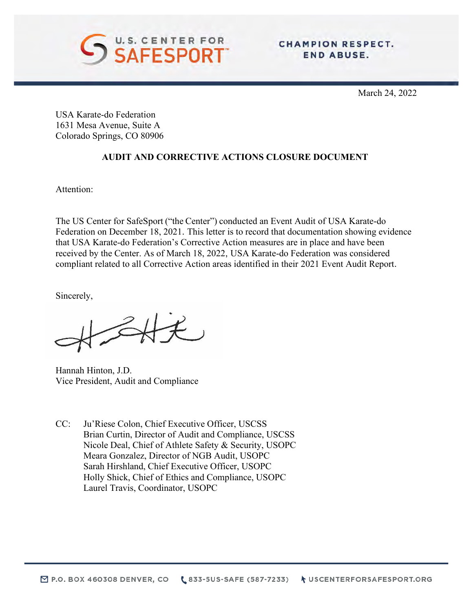

March 24, 2022

USA Karate-do Federation 1631 Mesa Avenue, Suite A Colorado Springs, CO 80906

# **AUDIT AND CORRECTIVE ACTIONS CLOSURE DOCUMENT**

Attention:

The US Center for SafeSport ("the Center") conducted an Event Audit of USA Karate-do Federation on December 18, 2021. This letter is to record that documentation showing evidence that USA Karate-do Federation's Corrective Action measures are in place and have been received by the Center. As of March 18, 2022, USA Karate-do Federation was considered compliant related to all Corrective Action areas identified in their 2021 Event Audit Report.

Sincerely,

合长

Hannah Hinton, J.D. Vice President, Audit and Compliance

CC: Ju'Riese Colon, Chief Executive Officer, USCSS Brian Curtin, Director of Audit and Compliance, USCSS Nicole Deal, Chief of Athlete Safety & Security, USOPC Meara Gonzalez, Director of NGB Audit, USOPC Sarah Hirshland, Chief Executive Officer, USOPC Holly Shick, Chief of Ethics and Compliance, USOPC Laurel Travis, Coordinator, USOPC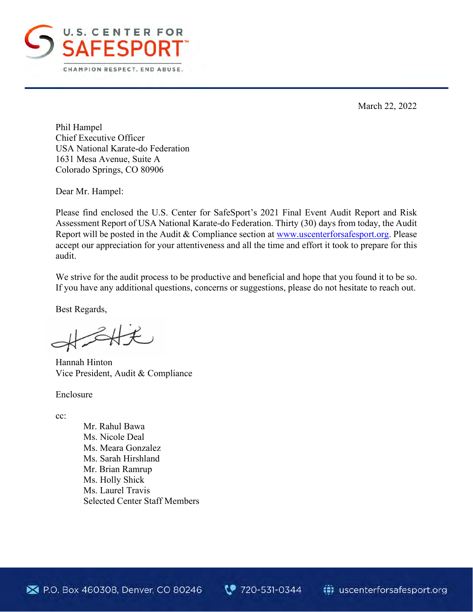

March 22, 2022

Phil Hampel Chief Executive Officer USA National Karate-do Federation 1631 Mesa Avenue, Suite A Colorado Springs, CO 80906

Dear Mr. Hampel:

Please find enclosed the U.S. Center for SafeSport's 2021 Final Event Audit Report and Risk Assessment Report of USA National Karate-do Federation. Thirty (30) days from today, the Audit Report will be posted in the Audit & Compliance section at [www.uscenterforsafesport.org.](http://www.uscenterforsafesport.org/) Please accept our appreciation for your attentiveness and all the time and effort it took to prepare for this audit.

We strive for the audit process to be productive and beneficial and hope that you found it to be so. If you have any additional questions, concerns or suggestions, please do not hesitate to reach out.

Best Regards,

 $347$ 

Hannah Hinton Vice President, Audit & Compliance

Enclosure

cc:

 Mr. Rahul Bawa Ms. Nicole Deal Ms. Meara Gonzalez Ms. Sarah Hirshland Mr. Brian Ramrup Ms. Holly Shick Ms. Laurel Travis Selected Center Staff Members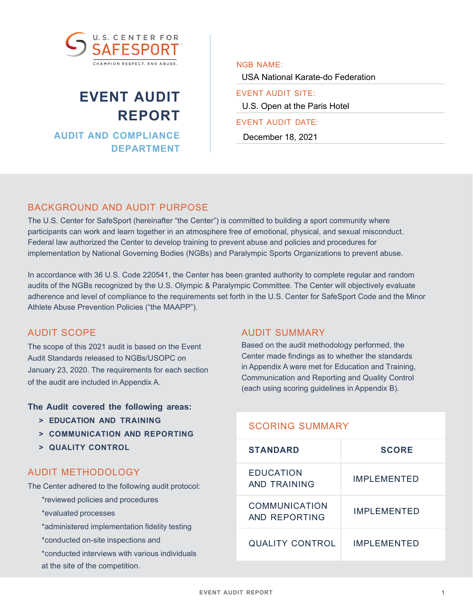

# **EVENT AUDIT REPORT**

**AUDIT AND COMPLIANCE DEPARTMENT** NGB NAME:

USA National Karate-do Federation

EVENT AUDIT SITE: U.S. Open at the Paris Hotel

#### EVENT AUDIT DATE:

December 18, 2021

# BACKGROUND AND AUDIT PURPOSE

The U.S. Center for SafeSport (hereinafter "the Center") is committed to building a sport community where participants can work and learn together in an atmosphere free of emotional, physical, and sexual misconduct. Federal law authorized the Center to develop training to prevent abuse and policies and procedures for implementation by National Governing Bodies (NGBs) and Paralympic Sports Organizations to prevent abuse.

In accordance with 36 U.S. Code 220541, the Center has been granted authority to complete regular and random audits of the NGBs recognized by the U.S. Olympic & Paralympic Committee. The Center will objectively evaluate adherence and level of compliance to the requirements set forth in the U.S. Center for SafeSport Code and the Minor Athlete Abuse Prevention Policies ("the MAAPP").

# AUDIT SCOPE

The scope of this 2021 audit is based on the Event Audit Standards released to NGBs/USOPC on January 23, 2020. The requirements for each section of the audit are included in Appendix A.

### **The Audit covered the following areas:**

- **> EDUCATION AND TRAINING**
- **> COMMUNICATION AND REPORTING**
- **> QUALITY CONTROL**

# AUDIT METHODOLOGY

The Center adhered to the following audit protocol:

- \*reviewed policies and procedures
- \*evaluated processes
- \*administered implementation fidelity testing
- \*conducted on-site inspections and
- \*conducted interviews with various individuals at the site of the competition.

# AUDIT SUMMARY

Based on the audit methodology performed, the Center made findings as to whether the standards in Appendix A were met for Education and Training, Communication and Reporting and Quality Control (each using scoring guidelines in Appendix B).

# SCORING SUMMARY

| <b>STANDARD</b>                       | <b>SCORE</b>        |  |
|---------------------------------------|---------------------|--|
| EDUCATION<br>AND TRAINING             | IMPI FMFNTFD        |  |
| <b>COMMUNICATION</b><br>AND REPORTING | IMPLEMENTED         |  |
| <b>QUALITY CONTROL</b>                | <b>IMPI FMENTED</b> |  |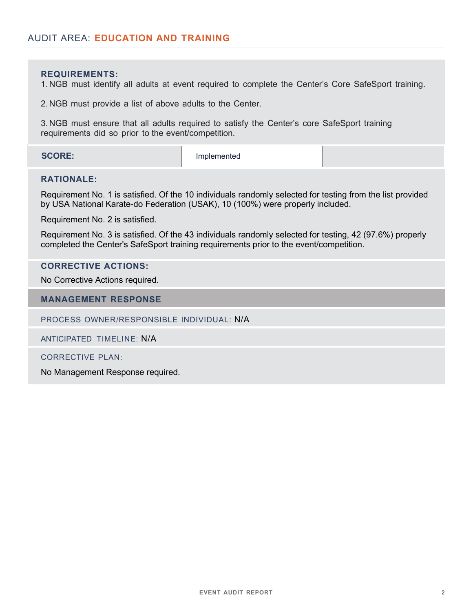#### **REQUIREMENTS:**

1. NGB must identify all adults at event required to complete the Center's Core SafeSport training.

2. NGB must provide a list of above adults to the Center.

3. NGB must ensure that all adults required to satisfy the Center's core SafeSport training requirements did so prior to the event/competition.

**SCORE:** Implemented

#### **RATIONALE:**

Requirement No. 1 is satisfied. Of the 10 individuals randomly selected for testing from the list provided by USA National Karate-do Federation (USAK), 10 (100%) were properly included.

Requirement No. 2 is satisfied.

Requirement No. 3 is satisfied. Of the 43 individuals randomly selected for testing, 42 (97.6%) properly completed the Center's SafeSport training requirements prior to the event/competition.

#### **CORRECTIVE ACTIONS:**

No Corrective Actions required.

#### **MANAGEMENT RESPONSE**

PROCESS OWNER/RESPONSIBLE INDIVIDUAL: N/A

ANTICIPATED TIMELINE: N/A

CORRECTIVE PLAN:

No Management Response required.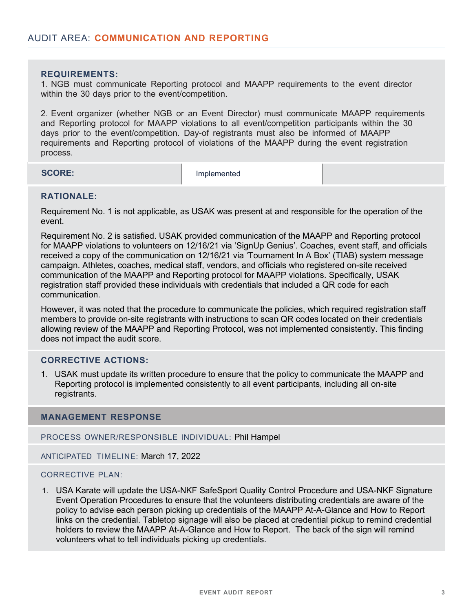#### **REQUIREMENTS:**

1. NGB must communicate Reporting protocol and MAAPP requirements to the event director within the 30 days prior to the event/competition.

2. Event organizer (whether NGB or an Event Director) must communicate MAAPP requirements and Reporting protocol for MAAPP violations to all event/competition participants within the 30 days prior to the event/competition. Day-of registrants must also be informed of MAAPP requirements and Reporting protocol of violations of the MAAPP during the event registration process.

**SCORE:** Implemented

#### **RATIONALE:**

Requirement No. 1 is not applicable, as USAK was present at and responsible for the operation of the event.

Requirement No. 2 is satisfied. USAK provided communication of the MAAPP and Reporting protocol for MAAPP violations to volunteers on 12/16/21 via 'SignUp Genius'. Coaches, event staff, and officials received a copy of the communication on 12/16/21 via 'Tournament In A Box' (TIAB) system message campaign. Athletes, coaches, medical staff, vendors, and officials who registered on-site received communication of the MAAPP and Reporting protocol for MAAPP violations. Specifically, USAK registration staff provided these individuals with credentials that included a QR code for each communication.

However, it was noted that the procedure to communicate the policies, which required registration staff members to provide on-site registrants with instructions to scan QR codes located on their credentials allowing review of the MAAPP and Reporting Protocol, was not implemented consistently. This finding does not impact the audit score.

### **CORRECTIVE ACTIONS:**

1. USAK must update its written procedure to ensure that the policy to communicate the MAAPP and Reporting protocol is implemented consistently to all event participants, including all on-site registrants.

#### **MANAGEMENT RESPONSE**

PROCESS OWNER/RESPONSIBLE INDIVIDUAL: Phil Hampel

ANTICIPATED TIMELINE: March 17, 2022

#### CORRECTIVE PLAN:

1. USA Karate will update the USA-NKF SafeSport Quality Control Procedure and USA-NKF Signature Event Operation Procedures to ensure that the volunteers distributing credentials are aware of the policy to advise each person picking up credentials of the MAAPP At-A-Glance and How to Report links on the credential. Tabletop signage will also be placed at credential pickup to remind credential holders to review the MAAPP At-A-Glance and How to Report. The back of the sign will remind volunteers what to tell individuals picking up credentials.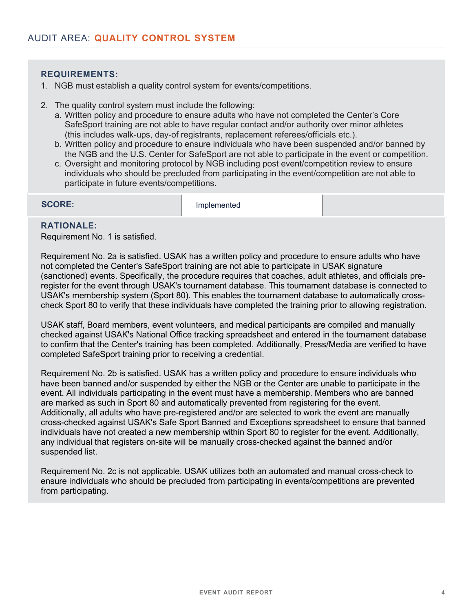#### **REQUIREMENTS:**

- 1. NGB must establish a quality control system for events/competitions.
- 2. The quality control system must include the following:
	- a. Written policy and procedure to ensure adults who have not completed the Center's Core SafeSport training are not able to have regular contact and/or authority over minor athletes (this includes walk-ups, day-of registrants, replacement referees/officials etc.).
	- b. Written policy and procedure to ensure individuals who have been suspended and/or banned by the NGB and the U.S. Center for SafeSport are not able to participate in the event or competition.
	- c. Oversight and monitoring protocol by NGB including post event/competition review to ensure individuals who should be precluded from participating in the event/competition are not able to participate in future events/competitions.

**SCORE:** Implemented

# **RATIONALE:**

Requirement No. 1 is satisfied.

Requirement No. 2a is satisfied. USAK has a written policy and procedure to ensure adults who have not completed the Center's SafeSport training are not able to participate in USAK signature (sanctioned) events. Specifically, the procedure requires that coaches, adult athletes, and officials preregister for the event through USAK's tournament database. This tournament database is connected to USAK's membership system (Sport 80). This enables the tournament database to automatically crosscheck Sport 80 to verify that these individuals have completed the training prior to allowing registration.

USAK staff, Board members, event volunteers, and medical participants are compiled and manually checked against USAK's National Office tracking spreadsheet and entered in the tournament database to confirm that the Center's training has been completed. Additionally, Press/Media are verified to have completed SafeSport training prior to receiving a credential.

Requirement No. 2b is satisfied. USAK has a written policy and procedure to ensure individuals who have been banned and/or suspended by either the NGB or the Center are unable to participate in the event. All individuals participating in the event must have a membership. Members who are banned are marked as such in Sport 80 and automatically prevented from registering for the event. Additionally, all adults who have pre-registered and/or are selected to work the event are manually cross-checked against USAK's Safe Sport Banned and Exceptions spreadsheet to ensure that banned individuals have not created a new membership within Sport 80 to register for the event. Additionally, any individual that registers on-site will be manually cross-checked against the banned and/or suspended list.

Requirement No. 2c is not applicable. USAK utilizes both an automated and manual cross-check to ensure individuals who should be precluded from participating in events/competitions are prevented from participating.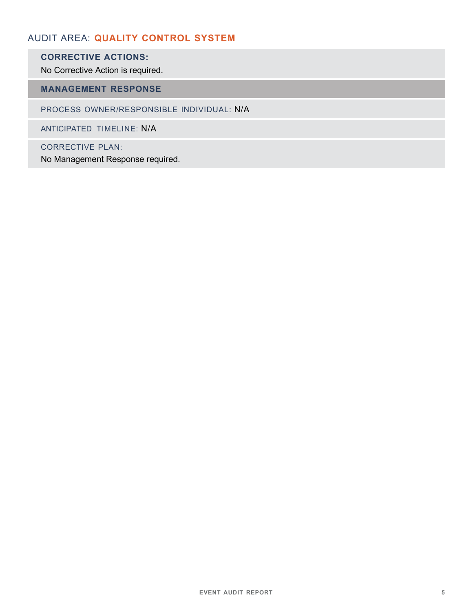# AUDIT AREA: **QUALITY CONTROL SYSTEM**

# **CORRECTIVE ACTIONS:**

No Corrective Action is required.

# **MANAGEMENT RESPONSE**

PROCESS OWNER/RESPONSIBLE INDIVIDUAL: N/A

ANTICIPATED TIMELINE: N/A

CORRECTIVE PLAN:

No Management Response required.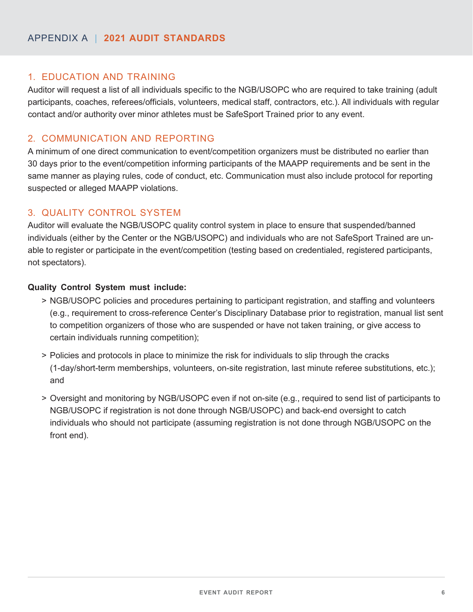# 1. EDUCATION AND TRAINING

Auditor will request a list of all individuals specific to the NGB/USOPC who are required to take training (adult participants, coaches, referees/officials, volunteers, medical staff, contractors, etc.). All individuals with regular contact and/or authority over minor athletes must be SafeSport Trained prior to any event.

# 2. COMMUNICATION AND REPORTING

A minimum of one direct communication to event/competition organizers must be distributed no earlier than 30 days prior to the event/competition informing participants of the MAAPP requirements and be sent in the same manner as playing rules, code of conduct, etc. Communication must also include protocol for reporting suspected or alleged MAAPP violations.

# 3. QUALITY CONTROL SYSTEM

Auditor will evaluate the NGB/USOPC quality control system in place to ensure that suspended/banned individuals (either by the Center or the NGB/USOPC) and individuals who are not SafeSport Trained are unable to register or participate in the event/competition (testing based on credentialed, registered participants, not spectators).

# **Quality Control System must include:**

- > NGB/USOPC policies and procedures pertaining to participant registration, and staffing and volunteers (e.g., requirement to cross-reference Center's Disciplinary Database prior to registration, manual list sent to competition organizers of those who are suspended or have not taken training, or give access to certain individuals running competition);
- > Policies and protocols in place to minimize the risk for individuals to slip through the cracks (1-day/short-term memberships, volunteers, on-site registration, last minute referee substitutions, etc.); and
- > Oversight and monitoring by NGB/USOPC even if not on-site (e.g., required to send list of participants to NGB/USOPC if registration is not done through NGB/USOPC) and back-end oversight to catch individuals who should not participate (assuming registration is not done through NGB/USOPC on the front end).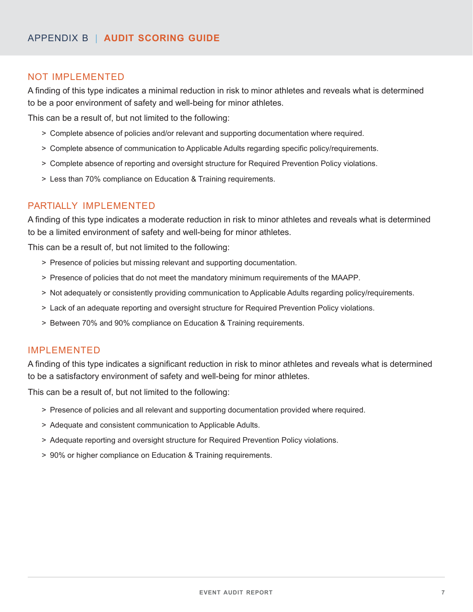# NOT IMPLEMENTED

A finding of this type indicates a minimal reduction in risk to minor athletes and reveals what is determined to be a poor environment of safety and well-being for minor athletes.

This can be a result of, but not limited to the following:

- > Complete absence of policies and/or relevant and supporting documentation where required.
- > Complete absence of communication to Applicable Adults regarding specific policy/requirements.
- > Complete absence of reporting and oversight structure for Required Prevention Policy violations.
- > Less than 70% compliance on Education & Training requirements.

# PARTIALLY IMPLEMENTED

A finding of this type indicates a moderate reduction in risk to minor athletes and reveals what is determined to be a limited environment of safety and well-being for minor athletes.

This can be a result of, but not limited to the following:

- > Presence of policies but missing relevant and supporting documentation.
- > Presence of policies that do not meet the mandatory minimum requirements of the MAAPP.
- > Not adequately or consistently providing communication to Applicable Adults regarding policy/requirements.
- > Lack of an adequate reporting and oversight structure for Required Prevention Policy violations.
- > Between 70% and 90% compliance on Education & Training requirements.

# IMPLEMENTED

A finding of this type indicates a significant reduction in risk to minor athletes and reveals what is determined to be a satisfactory environment of safety and well-being for minor athletes.

This can be a result of, but not limited to the following:

- > Presence of policies and all relevant and supporting documentation provided where required.
- > Adequate and consistent communication to Applicable Adults.
- > Adequate reporting and oversight structure for Required Prevention Policy violations.
- > 90% or higher compliance on Education & Training requirements.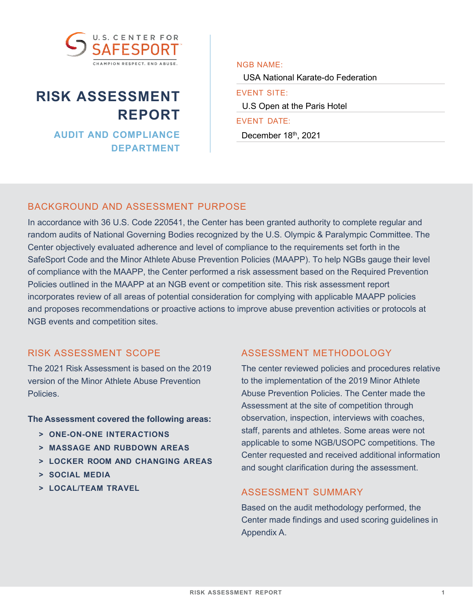

# **RISK ASSESSMENT REPORT**

**AUDIT AND COMPLIANCE DEPARTMENT** NGB NAME:

USA National Karate-do Federation

EVENT SITE:

U.S Open at the Paris Hotel

EVENT DATE:

December 18th, 2021

# BACKGROUND AND ASSESSMENT PURPOSE

In accordance with 36 U.S. Code 220541, the Center has been granted authority to complete regular and random audits of National Governing Bodies recognized by the U.S. Olympic & Paralympic Committee. The Center objectively evaluated adherence and level of compliance to the requirements set forth in the SafeSport Code and the Minor Athlete Abuse Prevention Policies (MAAPP). To help NGBs gauge their level of compliance with the MAAPP, the Center performed a risk assessment based on the Required Prevention Policies outlined in the MAAPP at an NGB event or competition site. This risk assessment report incorporates review of all areas of potential consideration for complying with applicable MAAPP policies and proposes recommendations or proactive actions to improve abuse prevention activities or protocols at NGB events and competition sites.

# RISK ASSESSMENT SCOPE

The 2021 Risk Assessment is based on the 2019 version of the Minor Athlete Abuse Prevention Policies.

**The Assessment covered the following areas:**

- **> ONE-ON-ONE INTERACTIONS**
- **> MASSAGE AND RUBDOWN AREAS**
- **> LOCKER ROOM AND CHANGING AREAS**
- **> SOCIAL MEDIA**
- **> LOCAL/TEAM TRAVEL**

# ASSESSMENT METHODOLOGY

The center reviewed policies and procedures relative to the implementation of the 2019 Minor Athlete Abuse Prevention Policies. The Center made the Assessment at the site of competition through observation, inspection, interviews with coaches, staff, parents and athletes. Some areas were not applicable to some NGB/USOPC competitions. The Center requested and received additional information and sought clarification during the assessment.

# ASSESSMENT SUMMARY

Based on the audit methodology performed, the Center made findings and used scoring guidelines in Appendix A.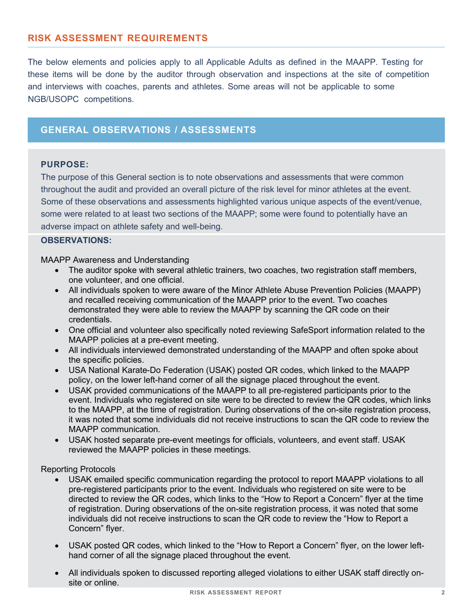# **RISK ASSESSMENT REQUIREMENTS**

The below elements and policies apply to all Applicable Adults as defined in the MAAPP. Testing for these items will be done by the auditor through observation and inspections at the site of competition and interviews with coaches, parents and athletes. Some areas will not be applicable to some NGB/USOPC competitions.

# **GENERAL OBSERVATIONS / ASSESSMENTS**

#### **PURPOSE:**

The purpose of this General section is to note observations and assessments that were common throughout the audit and provided an overall picture of the risk level for minor athletes at the event. Some of these observations and assessments highlighted various unique aspects of the event/venue, some were related to at least two sections of the MAAPP; some were found to potentially have an adverse impact on athlete safety and well-being.

#### **OBSERVATIONS:**

MAAPP Awareness and Understanding

- The auditor spoke with several athletic trainers, two coaches, two registration staff members, one volunteer, and one official.
- All individuals spoken to were aware of the Minor Athlete Abuse Prevention Policies (MAAPP) and recalled receiving communication of the MAAPP prior to the event. Two coaches demonstrated they were able to review the MAAPP by scanning the QR code on their credentials.
- One official and volunteer also specifically noted reviewing SafeSport information related to the MAAPP policies at a pre-event meeting.
- All individuals interviewed demonstrated understanding of the MAAPP and often spoke about the specific policies.
- USA National Karate-Do Federation (USAK) posted QR codes, which linked to the MAAPP policy, on the lower left-hand corner of all the signage placed throughout the event.
- USAK provided communications of the MAAPP to all pre-registered participants prior to the event. Individuals who registered on site were to be directed to review the QR codes, which links to the MAAPP, at the time of registration. During observations of the on-site registration process, it was noted that some individuals did not receive instructions to scan the QR code to review the MAAPP communication.
- USAK hosted separate pre-event meetings for officials, volunteers, and event staff. USAK reviewed the MAAPP policies in these meetings.

Reporting Protocols

- USAK emailed specific communication regarding the protocol to report MAAPP violations to all pre-registered participants prior to the event. Individuals who registered on site were to be directed to review the QR codes, which links to the "How to Report a Concern" flyer at the time of registration. During observations of the on-site registration process, it was noted that some individuals did not receive instructions to scan the QR code to review the "How to Report a Concern" flyer.
- USAK posted QR codes, which linked to the "How to Report a Concern" flyer, on the lower lefthand corner of all the signage placed throughout the event.
- All individuals spoken to discussed reporting alleged violations to either USAK staff directly onsite or online.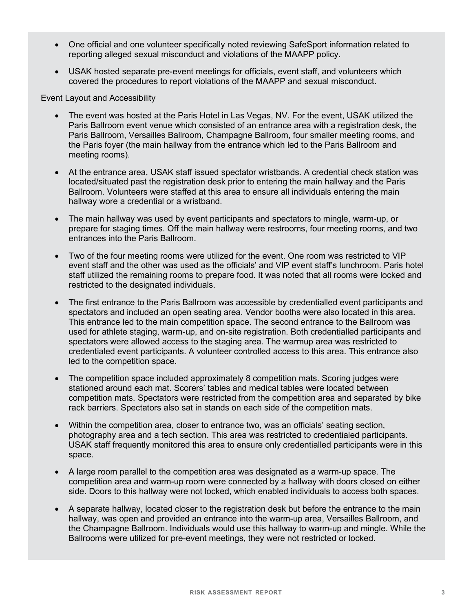- One official and one volunteer specifically noted reviewing SafeSport information related to reporting alleged sexual misconduct and violations of the MAAPP policy.
- USAK hosted separate pre-event meetings for officials, event staff, and volunteers which covered the procedures to report violations of the MAAPP and sexual misconduct.

Event Layout and Accessibility

- The event was hosted at the Paris Hotel in Las Vegas, NV. For the event, USAK utilized the Paris Ballroom event venue which consisted of an entrance area with a registration desk, the Paris Ballroom, Versailles Ballroom, Champagne Ballroom, four smaller meeting rooms, and the Paris foyer (the main hallway from the entrance which led to the Paris Ballroom and meeting rooms).
- At the entrance area, USAK staff issued spectator wristbands. A credential check station was located/situated past the registration desk prior to entering the main hallway and the Paris Ballroom. Volunteers were staffed at this area to ensure all individuals entering the main hallway wore a credential or a wristband.
- The main hallway was used by event participants and spectators to mingle, warm-up, or prepare for staging times. Off the main hallway were restrooms, four meeting rooms, and two entrances into the Paris Ballroom.
- Two of the four meeting rooms were utilized for the event. One room was restricted to VIP event staff and the other was used as the officials' and VIP event staff's lunchroom. Paris hotel staff utilized the remaining rooms to prepare food. It was noted that all rooms were locked and restricted to the designated individuals.
- The first entrance to the Paris Ballroom was accessible by credentialled event participants and spectators and included an open seating area. Vendor booths were also located in this area. This entrance led to the main competition space. The second entrance to the Ballroom was used for athlete staging, warm-up, and on-site registration. Both credentialled participants and spectators were allowed access to the staging area. The warmup area was restricted to credentialed event participants. A volunteer controlled access to this area. This entrance also led to the competition space.
- The competition space included approximately 8 competition mats. Scoring judges were stationed around each mat. Scorers' tables and medical tables were located between competition mats. Spectators were restricted from the competition area and separated by bike rack barriers. Spectators also sat in stands on each side of the competition mats.
- Within the competition area, closer to entrance two, was an officials' seating section, photography area and a tech section. This area was restricted to credentialed participants. USAK staff frequently monitored this area to ensure only credentialled participants were in this space.
- A large room parallel to the competition area was designated as a warm-up space. The competition area and warm-up room were connected by a hallway with doors closed on either side. Doors to this hallway were not locked, which enabled individuals to access both spaces.
- A separate hallway, located closer to the registration desk but before the entrance to the main hallway, was open and provided an entrance into the warm-up area, Versailles Ballroom, and the Champagne Ballroom. Individuals would use this hallway to warm-up and mingle. While the Ballrooms were utilized for pre-event meetings, they were not restricted or locked.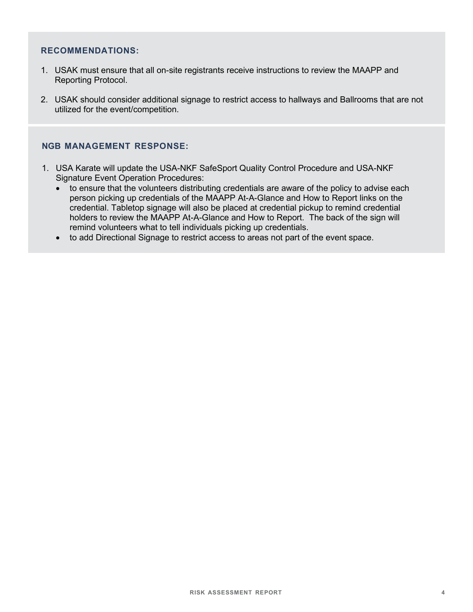#### **RECOMMENDATIONS:**

- 1. USAK must ensure that all on-site registrants receive instructions to review the MAAPP and Reporting Protocol.
- 2. USAK should consider additional signage to restrict access to hallways and Ballrooms that are not utilized for the event/competition.

#### **NGB MANAGEMENT RESPONSE:**

- 1. USA Karate will update the USA-NKF SafeSport Quality Control Procedure and USA-NKF Signature Event Operation Procedures:
	- to ensure that the volunteers distributing credentials are aware of the policy to advise each person picking up credentials of the MAAPP At-A-Glance and How to Report links on the credential. Tabletop signage will also be placed at credential pickup to remind credential holders to review the MAAPP At-A-Glance and How to Report. The back of the sign will remind volunteers what to tell individuals picking up credentials.
	- to add Directional Signage to restrict access to areas not part of the event space.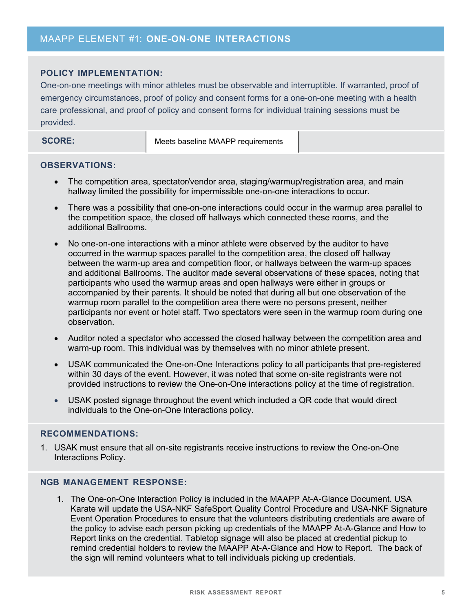#### **POLICY IMPLEMENTATION:**

One-on-one meetings with minor athletes must be observable and interruptible. If warranted, proof of emergency circumstances, proof of policy and consent forms for a one-on-one meeting with a health care professional, and proof of policy and consent forms for individual training sessions must be provided.

**SCORE:** Meets baseline MAAPP requirements

#### **OBSERVATIONS:**

- The competition area, spectator/vendor area, staging/warmup/registration area, and main hallway limited the possibility for impermissible one-on-one interactions to occur.
- There was a possibility that one-on-one interactions could occur in the warmup area parallel to the competition space, the closed off hallways which connected these rooms, and the additional Ballrooms.
- No one-on-one interactions with a minor athlete were observed by the auditor to have occurred in the warmup spaces parallel to the competition area, the closed off hallway between the warm-up area and competition floor, or hallways between the warm-up spaces and additional Ballrooms. The auditor made several observations of these spaces, noting that participants who used the warmup areas and open hallways were either in groups or accompanied by their parents. It should be noted that during all but one observation of the warmup room parallel to the competition area there were no persons present, neither participants nor event or hotel staff. Two spectators were seen in the warmup room during one observation.
- Auditor noted a spectator who accessed the closed hallway between the competition area and warm-up room. This individual was by themselves with no minor athlete present.
- USAK communicated the One-on-One Interactions policy to all participants that pre-registered within 30 days of the event. However, it was noted that some on-site registrants were not provided instructions to review the One-on-One interactions policy at the time of registration.
- USAK posted signage throughout the event which included a QR code that would direct individuals to the One-on-One Interactions policy.

# **RECOMMENDATIONS:**

1. USAK must ensure that all on-site registrants receive instructions to review the One-on-One Interactions Policy.

#### **NGB MANAGEMENT RESPONSE:**

1. The One-on-One Interaction Policy is included in the MAAPP At-A-Glance Document. USA Karate will update the USA-NKF SafeSport Quality Control Procedure and USA-NKF Signature Event Operation Procedures to ensure that the volunteers distributing credentials are aware of the policy to advise each person picking up credentials of the MAAPP At-A-Glance and How to Report links on the credential. Tabletop signage will also be placed at credential pickup to remind credential holders to review the MAAPP At-A-Glance and How to Report. The back of the sign will remind volunteers what to tell individuals picking up credentials.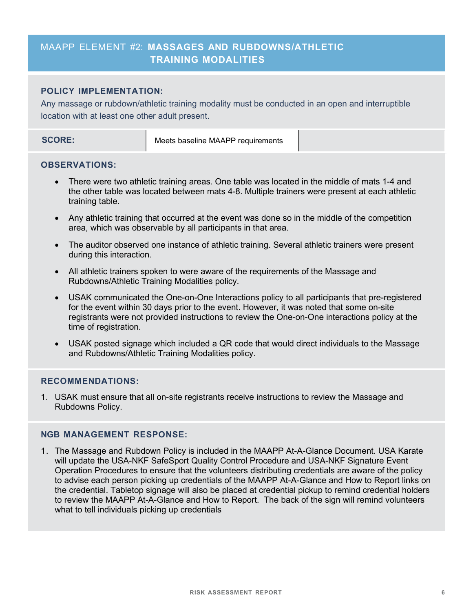# MAAPP ELEMENT #2: **MASSAGES AND RUBDOWNS/ATHLETIC TRAINING MODALITIES**

#### **POLICY IMPLEMENTATION:**

Any massage or rubdown/athletic training modality must be conducted in an open and interruptible location with at least one other adult present.

|--|

#### **OBSERVATIONS:**

- There were two athletic training areas. One table was located in the middle of mats 1-4 and the other table was located between mats 4-8. Multiple trainers were present at each athletic training table.
- Any athletic training that occurred at the event was done so in the middle of the competition area, which was observable by all participants in that area.
- The auditor observed one instance of athletic training. Several athletic trainers were present during this interaction.
- All athletic trainers spoken to were aware of the requirements of the Massage and Rubdowns/Athletic Training Modalities policy.
- USAK communicated the One-on-One Interactions policy to all participants that pre-registered for the event within 30 days prior to the event. However, it was noted that some on-site registrants were not provided instructions to review the One-on-One interactions policy at the time of registration.
- USAK posted signage which included a QR code that would direct individuals to the Massage and Rubdowns/Athletic Training Modalities policy.

#### **RECOMMENDATIONS:**

1. USAK must ensure that all on-site registrants receive instructions to review the Massage and Rubdowns Policy.

#### **NGB MANAGEMENT RESPONSE:**

1. The Massage and Rubdown Policy is included in the MAAPP At-A-Glance Document. USA Karate will update the USA-NKF SafeSport Quality Control Procedure and USA-NKF Signature Event Operation Procedures to ensure that the volunteers distributing credentials are aware of the policy to advise each person picking up credentials of the MAAPP At-A-Glance and How to Report links on the credential. Tabletop signage will also be placed at credential pickup to remind credential holders to review the MAAPP At-A-Glance and How to Report. The back of the sign will remind volunteers what to tell individuals picking up credentials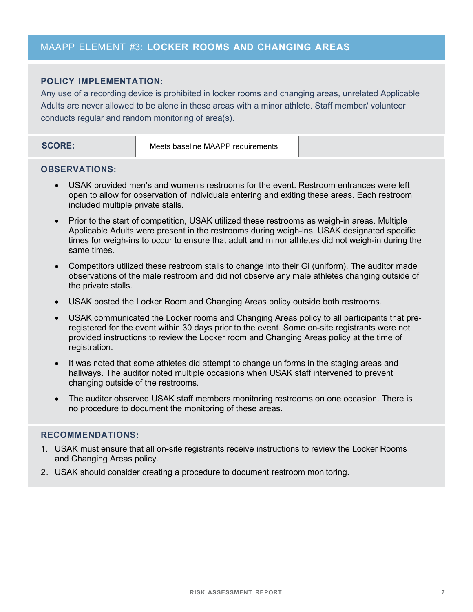# MAAPP ELEMENT #3: **LOCKER ROOMS AND CHANGING AREAS**

### **POLICY IMPLEMENTATION:**

Any use of a recording device is prohibited in locker rooms and changing areas, unrelated Applicable Adults are never allowed to be alone in these areas with a minor athlete. Staff member/ volunteer conducts regular and random monitoring of area(s).

|--|

#### **OBSERVATIONS:**

- USAK provided men's and women's restrooms for the event. Restroom entrances were left open to allow for observation of individuals entering and exiting these areas. Each restroom included multiple private stalls.
- Prior to the start of competition, USAK utilized these restrooms as weigh-in areas. Multiple Applicable Adults were present in the restrooms during weigh-ins. USAK designated specific times for weigh-ins to occur to ensure that adult and minor athletes did not weigh-in during the same times.
- Competitors utilized these restroom stalls to change into their Gi (uniform). The auditor made observations of the male restroom and did not observe any male athletes changing outside of the private stalls.
- USAK posted the Locker Room and Changing Areas policy outside both restrooms.
- USAK communicated the Locker rooms and Changing Areas policy to all participants that preregistered for the event within 30 days prior to the event. Some on-site registrants were not provided instructions to review the Locker room and Changing Areas policy at the time of registration.
- It was noted that some athletes did attempt to change uniforms in the staging areas and hallways. The auditor noted multiple occasions when USAK staff intervened to prevent changing outside of the restrooms.
- The auditor observed USAK staff members monitoring restrooms on one occasion. There is no procedure to document the monitoring of these areas.

#### **RECOMMENDATIONS:**

- 1. USAK must ensure that all on-site registrants receive instructions to review the Locker Rooms and Changing Areas policy.
- 2. USAK should consider creating a procedure to document restroom monitoring.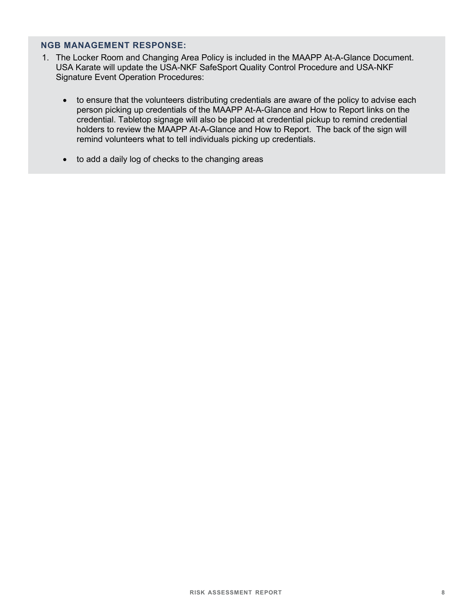#### **NGB MANAGEMENT RESPONSE:**

- 1. The Locker Room and Changing Area Policy is included in the MAAPP At-A-Glance Document. USA Karate will update the USA-NKF SafeSport Quality Control Procedure and USA-NKF Signature Event Operation Procedures:
	- to ensure that the volunteers distributing credentials are aware of the policy to advise each person picking up credentials of the MAAPP At-A-Glance and How to Report links on the credential. Tabletop signage will also be placed at credential pickup to remind credential holders to review the MAAPP At-A-Glance and How to Report. The back of the sign will remind volunteers what to tell individuals picking up credentials.
	- to add a daily log of checks to the changing areas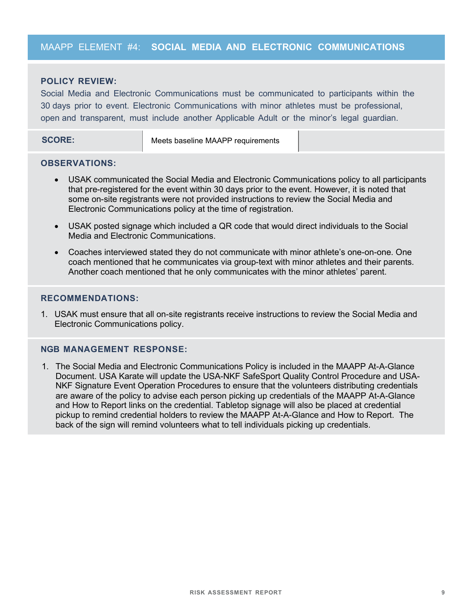# MAAPP ELEMENT #4: **SOCIAL MEDIA AND ELECTRONIC COMMUNICATIONS**

#### **POLICY REVIEW:**

Social Media and Electronic Communications must be communicated to participants within the 30 days prior to event. Electronic Communications with minor athletes must be professional, open and transparent, must include another Applicable Adult or the minor's legal guardian.

**SCORE:** Meets baseline MAAPP requirements

#### **OBSERVATIONS:**

- USAK communicated the Social Media and Electronic Communications policy to all participants that pre-registered for the event within 30 days prior to the event. However, it is noted that some on-site registrants were not provided instructions to review the Social Media and Electronic Communications policy at the time of registration.
- USAK posted signage which included a QR code that would direct individuals to the Social Media and Electronic Communications.
- Coaches interviewed stated they do not communicate with minor athlete's one-on-one. One coach mentioned that he communicates via group-text with minor athletes and their parents. Another coach mentioned that he only communicates with the minor athletes' parent.

#### **RECOMMENDATIONS:**

1. USAK must ensure that all on-site registrants receive instructions to review the Social Media and Electronic Communications policy.

#### **NGB MANAGEMENT RESPONSE:**

1. The Social Media and Electronic Communications Policy is included in the MAAPP At-A-Glance Document. USA Karate will update the USA-NKF SafeSport Quality Control Procedure and USA-NKF Signature Event Operation Procedures to ensure that the volunteers distributing credentials are aware of the policy to advise each person picking up credentials of the MAAPP At-A-Glance and How to Report links on the credential. Tabletop signage will also be placed at credential pickup to remind credential holders to review the MAAPP At-A-Glance and How to Report. The back of the sign will remind volunteers what to tell individuals picking up credentials.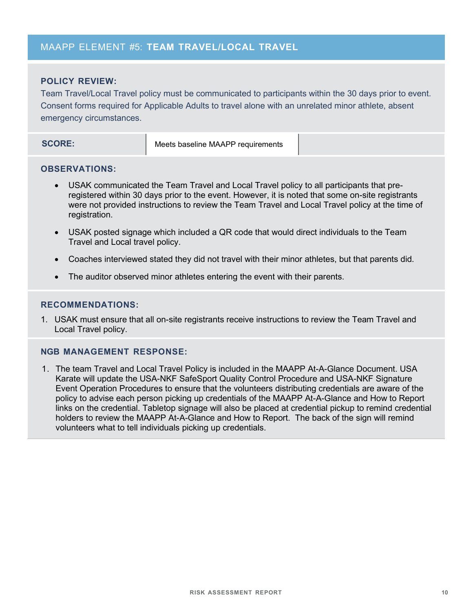# MAAPP ELEMENT #5: **TEAM TRAVEL/LOCAL TRAVEL**

#### **POLICY REVIEW:**

Team Travel/Local Travel policy must be communicated to participants within the 30 days prior to event. Consent forms required for Applicable Adults to travel alone with an unrelated minor athlete, absent emergency circumstances.

| <b>SCORE:</b> | Meets baseline MAAPP requirements |  |
|---------------|-----------------------------------|--|
|               |                                   |  |

#### **OBSERVATIONS:**

- USAK communicated the Team Travel and Local Travel policy to all participants that preregistered within 30 days prior to the event. However, it is noted that some on-site registrants were not provided instructions to review the Team Travel and Local Travel policy at the time of registration.
- USAK posted signage which included a QR code that would direct individuals to the Team Travel and Local travel policy.
- Coaches interviewed stated they did not travel with their minor athletes, but that parents did.
- The auditor observed minor athletes entering the event with their parents.

#### **RECOMMENDATIONS:**

1. USAK must ensure that all on-site registrants receive instructions to review the Team Travel and Local Travel policy.

#### **NGB MANAGEMENT RESPONSE:**

1. The team Travel and Local Travel Policy is included in the MAAPP At-A-Glance Document. USA Karate will update the USA-NKF SafeSport Quality Control Procedure and USA-NKF Signature Event Operation Procedures to ensure that the volunteers distributing credentials are aware of the policy to advise each person picking up credentials of the MAAPP At-A-Glance and How to Report links on the credential. Tabletop signage will also be placed at credential pickup to remind credential holders to review the MAAPP At-A-Glance and How to Report. The back of the sign will remind volunteers what to tell individuals picking up credentials.